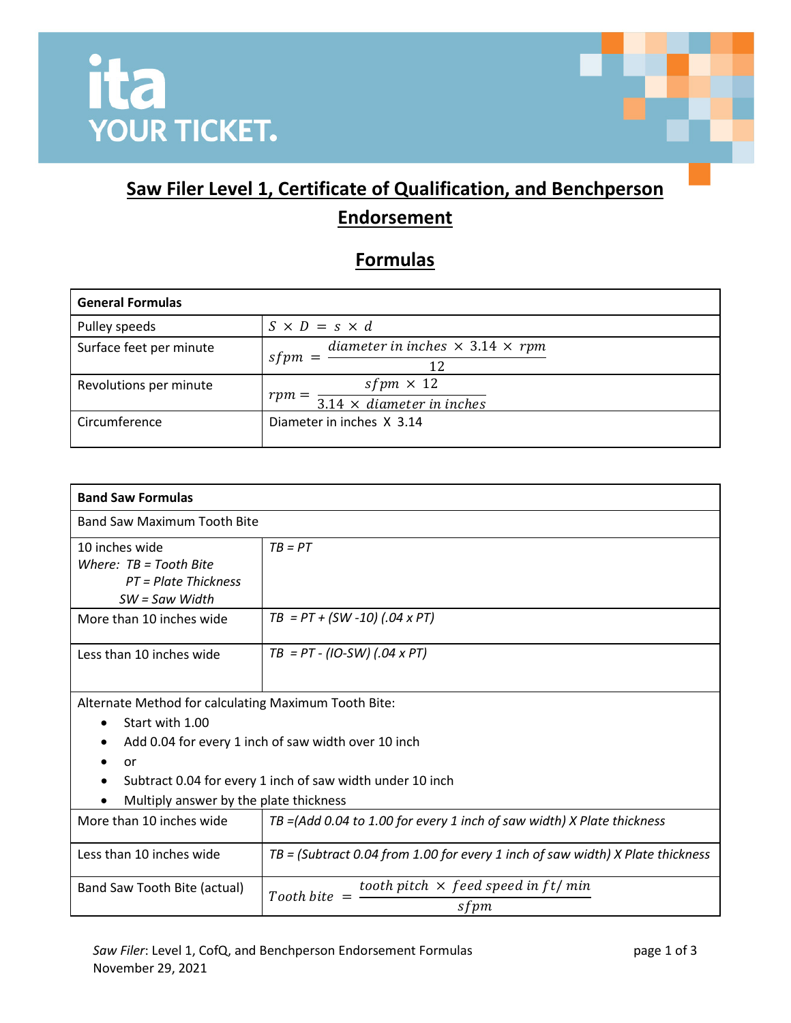

## **Saw Filer Level 1, Certificate of Qualification, and Benchperson Endorsement**

## **Formulas**

| <b>General Formulas</b> |                                                                            |
|-------------------------|----------------------------------------------------------------------------|
| Pulley speeds           | $S \times D = s \times d$                                                  |
| Surface feet per minute | diameter in inches $\times$ 3.14 $\times$ rpm<br>sfpm<br>12                |
| Revolutions per minute  | sfpm $\times$ 12<br>$rpm =$<br>$\overline{3.14 \times diameter}$ in inches |
| Circumference           | Diameter in inches X 3.14                                                  |

| <b>Band Saw Formulas</b>                                                                                                                                                                                                                    |                                                                                  |  |
|---------------------------------------------------------------------------------------------------------------------------------------------------------------------------------------------------------------------------------------------|----------------------------------------------------------------------------------|--|
| <b>Band Saw Maximum Tooth Bite</b>                                                                                                                                                                                                          |                                                                                  |  |
| 10 inches wide<br>Where: $TB = Tooth$ Bite<br>$PT = Plate Thickness$<br>$SW =$ Saw Width                                                                                                                                                    | $TB = PT$                                                                        |  |
| More than 10 inches wide                                                                                                                                                                                                                    | $TB = PT + (SW - 10) (0.04 \times PT)$                                           |  |
| Less than 10 inches wide                                                                                                                                                                                                                    | $TB = PT - (IO-SW) (.04 \times PT)$                                              |  |
| Alternate Method for calculating Maximum Tooth Bite:<br>Start with 1.00<br>Add 0.04 for every 1 inch of saw width over 10 inch<br>or<br>Subtract 0.04 for every 1 inch of saw width under 10 inch<br>Multiply answer by the plate thickness |                                                                                  |  |
| More than 10 inches wide                                                                                                                                                                                                                    | $TB = (Add 0.04 to 1.00 for every 1 inch of saw width) X Plate thickness$        |  |
| Less than 10 inches wide                                                                                                                                                                                                                    | $TB = (Subtract 0.04 from 1.00 for every 1 inch of saw width) X Plate thickness$ |  |
| Band Saw Tooth Bite (actual)                                                                                                                                                                                                                | tooth pitch $\times$ feed speed in ft/min<br>$Tooth$ hite $=$<br>sfpm            |  |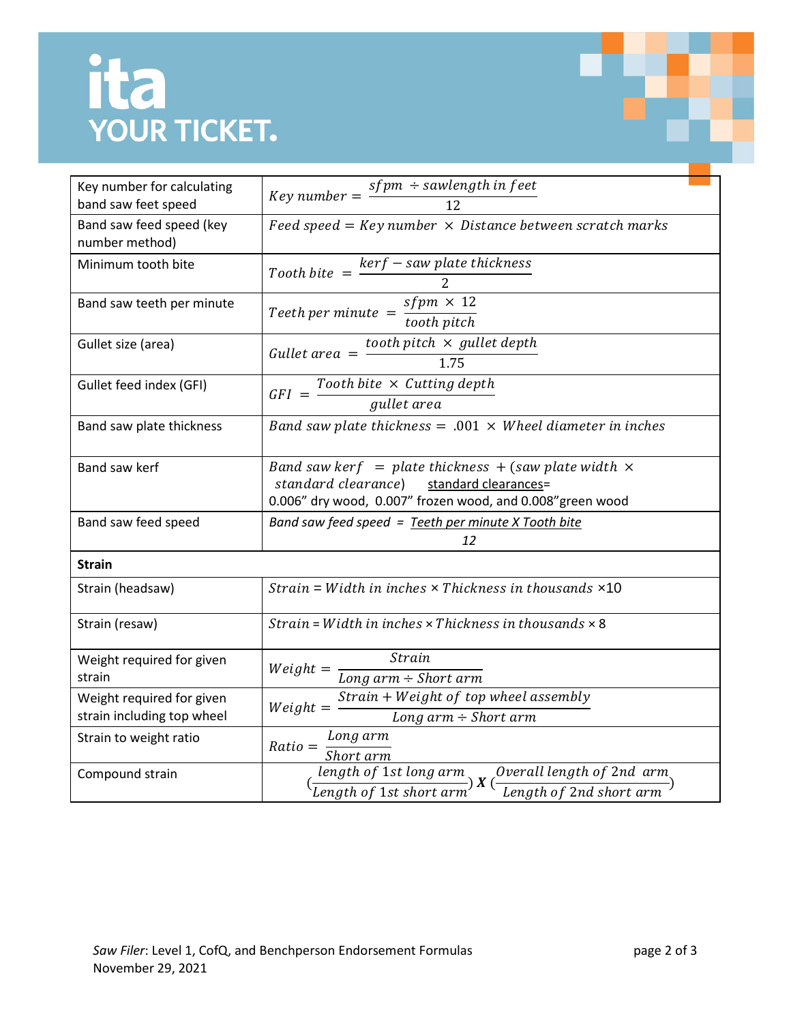## <u>ita</u>

| <b>YOUR TICKET.</b>                                     |                                                                                                                                    |  |
|---------------------------------------------------------|------------------------------------------------------------------------------------------------------------------------------------|--|
|                                                         |                                                                                                                                    |  |
| Key number for calculating                              | Key number = $\frac{sfpm \div sawlength \; in \; feet}{12}$                                                                        |  |
| band saw feet speed                                     |                                                                                                                                    |  |
| Band saw feed speed (key<br>number method)              | Feed speed = Key number $\times$ Distance between scratch marks                                                                    |  |
| Minimum tooth bite                                      | Tooth bite $=$ $\frac{ker f - saw$ plate thickness<br>2                                                                            |  |
| Band saw teeth per minute                               |                                                                                                                                    |  |
|                                                         | Teeth per minute $=$ $\frac{sfpm \times 12}{tooth\, pitch}$                                                                        |  |
| Gullet size (area)                                      | tooth pitch $\times$ gullet depth<br>Gullet area $=$ $-$                                                                           |  |
|                                                         | 1.75                                                                                                                               |  |
| Gullet feed index (GFI)                                 | $\textit{GFI = \frac{Tooth\,} \times \textit{Cutting\, depth}}{gullet\, area}$                                                     |  |
|                                                         |                                                                                                                                    |  |
| Band saw plate thickness                                | Band saw plate thickness = $.001 \times$ Wheel diameter in inches                                                                  |  |
| Band saw kerf                                           | Band saw kerf = plate thickness + (saw plate width $\times$<br>standard clearance) standard clearances=                            |  |
|                                                         | 0.006" dry wood, 0.007" frozen wood, and 0.008" green wood                                                                         |  |
| Band saw feed speed                                     | Band saw feed speed = Teeth per minute X Tooth bite                                                                                |  |
|                                                         | 12                                                                                                                                 |  |
| <b>Strain</b>                                           |                                                                                                                                    |  |
| Strain (headsaw)                                        | Strain = Width in inches $\times$ Thickness in thousands $\times$ 10                                                               |  |
| Strain (resaw)                                          | Strain = Width in inches $\times$ Thickness in thousands $\times$ 8                                                                |  |
| Weight required for given                               | Strain<br>$Weight =$                                                                                                               |  |
| strain                                                  | $\overline{Long\ arm \div Short\ arm}$                                                                                             |  |
| Weight required for given<br>strain including top wheel | Strain + Weight of top wheel assembly<br>$Weight =$<br>Long $arm \div Short~arm$                                                   |  |
| Strain to weight ratio                                  | Long arm<br>$Ratio =$<br>Short arm                                                                                                 |  |
| Compound strain                                         | Overall length of 2nd arm<br>length of 1st long arm<br>$\lambda$ $\lambda$ (<br>Length of 1st short arm<br>Length of 2nd short arm |  |